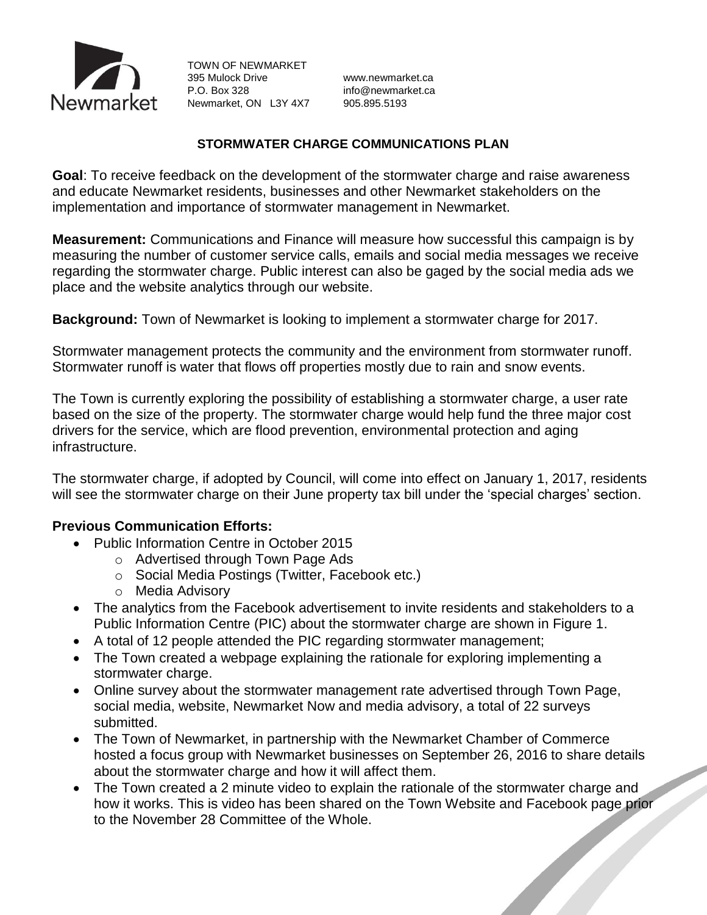

TOWN OF NEWMARKET 395 Mulock Drive www.newmarket.ca P.O. Box 328 info@newmarket.ca Newmarket, ON L3Y 4X7 905.895.5193

#### **STORMWATER CHARGE COMMUNICATIONS PLAN**

**Goal**: To receive feedback on the development of the stormwater charge and raise awareness and educate Newmarket residents, businesses and other Newmarket stakeholders on the implementation and importance of stormwater management in Newmarket.

**Measurement:** Communications and Finance will measure how successful this campaign is by measuring the number of customer service calls, emails and social media messages we receive regarding the stormwater charge. Public interest can also be gaged by the social media ads we place and the website analytics through our website.

**Background:** Town of Newmarket is looking to implement a stormwater charge for 2017.

Stormwater management protects the community and the environment from stormwater runoff. Stormwater runoff is water that flows off properties mostly due to rain and snow events.

The Town is currently exploring the possibility of establishing a stormwater charge, a user rate based on the size of the property. The stormwater charge would help fund the three major cost drivers for the service, which are flood prevention, environmental protection and aging infrastructure.

The stormwater charge, if adopted by Council, will come into effect on January 1, 2017, residents will see the stormwater charge on their June property tax bill under the 'special charges' section.

#### **Previous Communication Efforts:**

- Public Information Centre in October 2015
	- o Advertised through Town Page Ads
	- o Social Media Postings (Twitter, Facebook etc.)
	- o Media Advisory
- The analytics from the Facebook advertisement to invite residents and stakeholders to a Public Information Centre (PIC) about the stormwater charge are shown in Figure 1.
- A total of 12 people attended the PIC regarding stormwater management;
- The Town created a webpage explaining the rationale for exploring implementing a stormwater charge.
- Online survey about the stormwater management rate advertised through Town Page, social media, website, Newmarket Now and media advisory, a total of 22 surveys submitted.
- The Town of Newmarket, in partnership with the Newmarket Chamber of Commerce hosted a focus group with Newmarket businesses on September 26, 2016 to share details about the stormwater charge and how it will affect them.
- The Town created a 2 minute video to explain the rationale of the stormwater charge and how it works. This is video has been shared on the Town Website and Facebook page prior to the November 28 Committee of the Whole.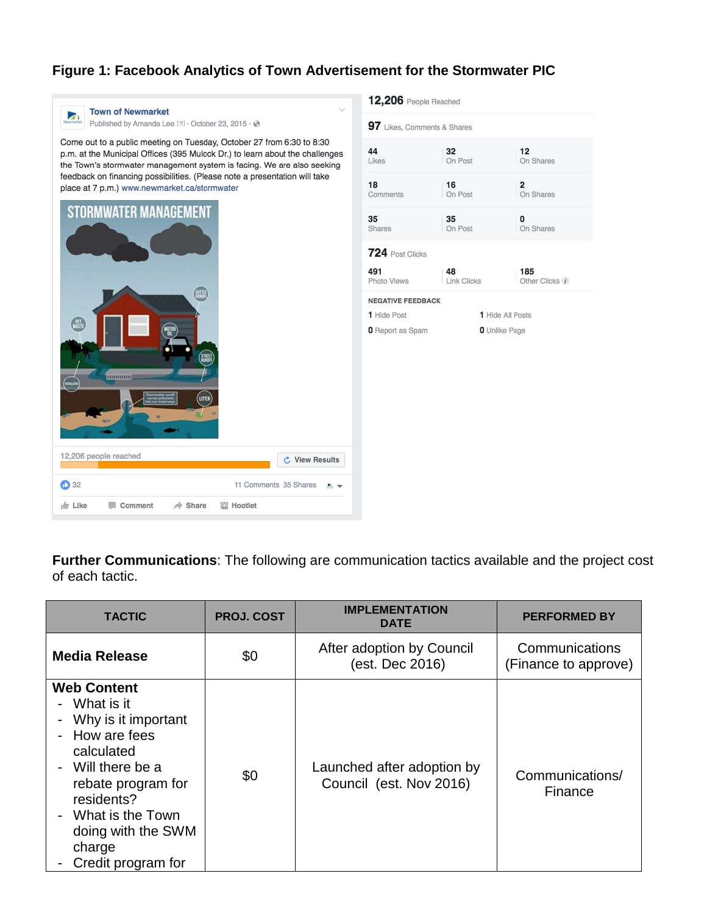# **Figure 1: Facebook Analytics of Town Advertisement for the Stormwater PIC**



**Further Communications**: The following are communication tactics available and the project cost of each tactic.

| <b>TACTIC</b>                                                                                                                                                                                                                            | <b>PROJ. COST</b> | <b>IMPLEMENTATION</b><br><b>DATE</b>                  | <b>PERFORMED BY</b>                    |
|------------------------------------------------------------------------------------------------------------------------------------------------------------------------------------------------------------------------------------------|-------------------|-------------------------------------------------------|----------------------------------------|
| <b>Media Release</b>                                                                                                                                                                                                                     | \$0               | After adoption by Council<br>(est. Dec 2016)          | Communications<br>(Finance to approve) |
| <b>Web Content</b><br>What is it<br>Why is it important<br>How are fees<br>calculated<br>Will there be a<br>$\blacksquare$<br>rebate program for<br>residents?<br>What is the Town<br>doing with the SWM<br>charge<br>Credit program for | \$0               | Launched after adoption by<br>Council (est. Nov 2016) | Communications/<br>Finance             |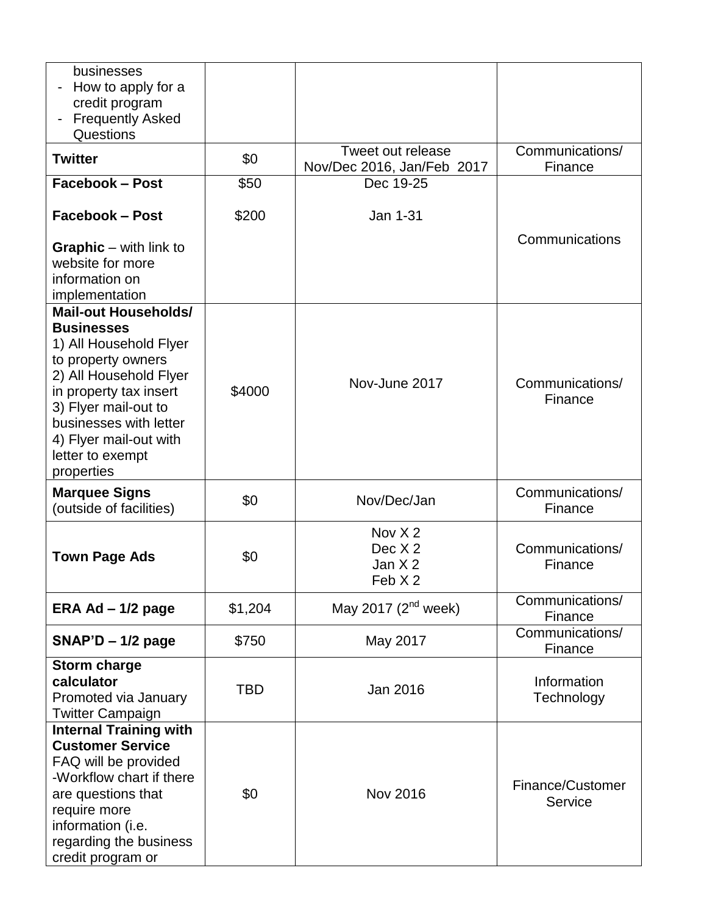| businesses<br>How to apply for a<br>credit program<br><b>Frequently Asked</b><br>$\qquad \qquad \blacksquare$<br>Questions                                                                                                                                         |            |                                                      |                             |
|--------------------------------------------------------------------------------------------------------------------------------------------------------------------------------------------------------------------------------------------------------------------|------------|------------------------------------------------------|-----------------------------|
| <b>Twitter</b>                                                                                                                                                                                                                                                     | \$0        | Tweet out release<br>Nov/Dec 2016, Jan/Feb 2017      | Communications/<br>Finance  |
| <b>Facebook - Post</b>                                                                                                                                                                                                                                             | \$50       | Dec 19-25                                            |                             |
| <b>Facebook - Post</b>                                                                                                                                                                                                                                             | \$200      | Jan 1-31                                             |                             |
| <b>Graphic</b> – with link to<br>website for more<br>information on<br>implementation                                                                                                                                                                              |            |                                                      | Communications              |
| <b>Mail-out Households/</b><br><b>Businesses</b><br>1) All Household Flyer<br>to property owners<br>2) All Household Flyer<br>in property tax insert<br>3) Flyer mail-out to<br>businesses with letter<br>4) Flyer mail-out with<br>letter to exempt<br>properties | \$4000     | Nov-June 2017                                        | Communications/<br>Finance  |
| <b>Marquee Signs</b><br>(outside of facilities)                                                                                                                                                                                                                    | \$0        | Nov/Dec/Jan                                          | Communications/<br>Finance  |
| <b>Town Page Ads</b>                                                                                                                                                                                                                                               | \$0        | Nov $X2$<br>Dec X <sub>2</sub><br>Jan $X2$<br>Feb X2 | Communications/<br>Finance  |
| ERA Ad $-1/2$ page                                                                                                                                                                                                                                                 | \$1,204    | May 2017 $(2^{nd}$ week)                             | Communications/<br>Finance  |
| $SNAP'D - 1/2$ page                                                                                                                                                                                                                                                | \$750      | May 2017                                             | Communications/<br>Finance  |
| <b>Storm charge</b><br>calculator<br>Promoted via January<br><b>Twitter Campaign</b>                                                                                                                                                                               | <b>TBD</b> | Jan 2016                                             | Information<br>Technology   |
| <b>Internal Training with</b><br><b>Customer Service</b><br>FAQ will be provided<br>-Workflow chart if there<br>are questions that<br>require more<br>information (i.e.<br>regarding the business<br>credit program or                                             | \$0        | <b>Nov 2016</b>                                      | Finance/Customer<br>Service |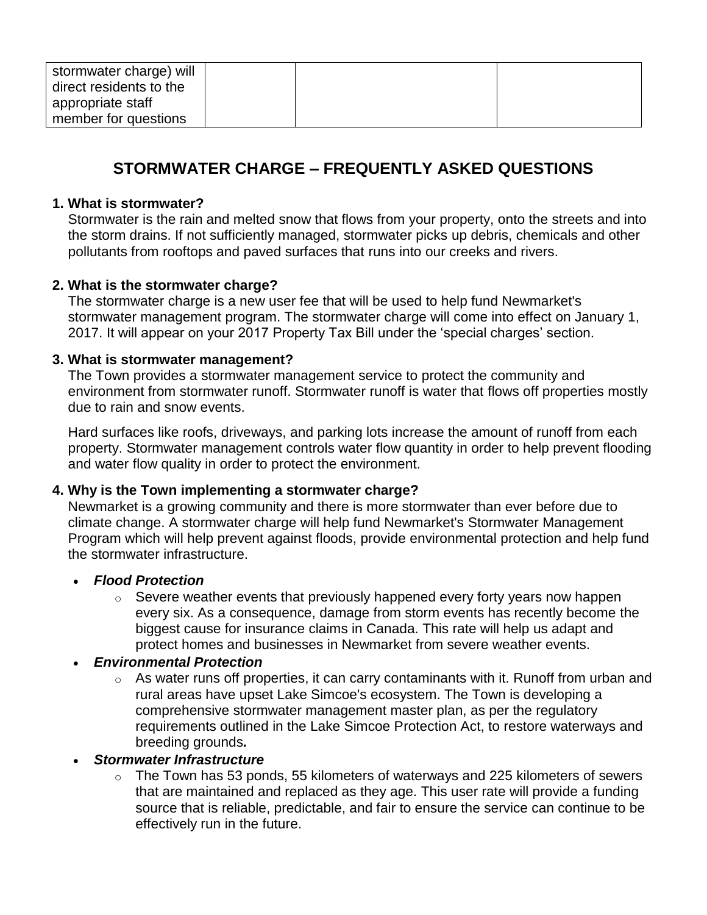| stormwater charge) will |  |  |
|-------------------------|--|--|
| direct residents to the |  |  |
| appropriate staff       |  |  |
| member for questions    |  |  |

# **STORMWATER CHARGE – FREQUENTLY ASKED QUESTIONS**

## **1. What is stormwater?**

Stormwater is the rain and melted snow that flows from your property, onto the streets and into the storm drains. If not sufficiently managed, stormwater picks up debris, chemicals and other pollutants from rooftops and paved surfaces that runs into our creeks and rivers.

# **2. What is the stormwater charge?**

The stormwater charge is a new user fee that will be used to help fund Newmarket's stormwater management program. The stormwater charge will come into effect on January 1, 2017. It will appear on your 2017 Property Tax Bill under the 'special charges' section.

# **3. What is stormwater management?**

The Town provides a stormwater management service to protect the community and environment from stormwater runoff. Stormwater runoff is water that flows off properties mostly due to rain and snow events.

Hard surfaces like roofs, driveways, and parking lots increase the amount of runoff from each property. Stormwater management controls water flow quantity in order to help prevent flooding and water flow quality in order to protect the environment.

# **4. Why is the Town implementing a stormwater charge?**

Newmarket is a growing community and there is more stormwater than ever before due to climate change. A stormwater charge will help fund Newmarket's Stormwater Management Program which will help prevent against floods, provide environmental protection and help fund the stormwater infrastructure.

#### *Flood Protection*

 $\circ$  Severe weather events that previously happened every forty years now happen every six. As a consequence, damage from storm events has recently become the biggest cause for insurance claims in Canada. This rate will help us adapt and protect homes and businesses in Newmarket from severe weather events.

#### *Environmental Protection*

o As water runs off properties, it can carry contaminants with it. Runoff from urban and rural areas have upset Lake Simcoe's ecosystem. The Town is developing a comprehensive stormwater management master plan, as per the regulatory requirements outlined in the Lake Simcoe Protection Act, to restore waterways and breeding grounds*.*

#### *Stormwater Infrastructure*

 $\circ$  The Town has 53 ponds, 55 kilometers of waterways and 225 kilometers of sewers that are maintained and replaced as they age. This user rate will provide a funding source that is reliable, predictable, and fair to ensure the service can continue to be effectively run in the future.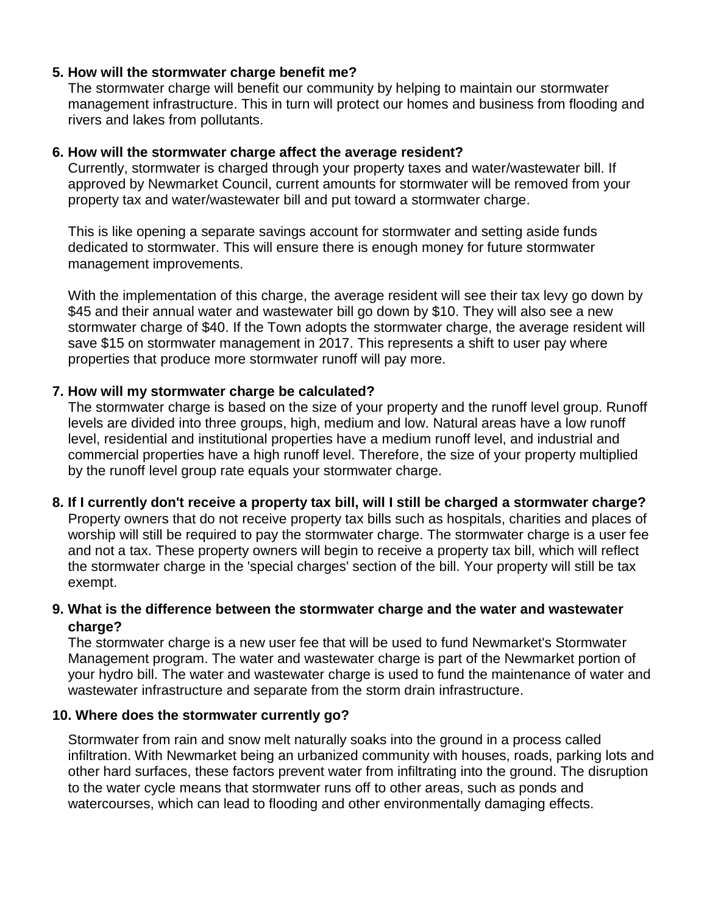## **5. How will the stormwater charge benefit me?**

The stormwater charge will benefit our community by helping to maintain our stormwater management infrastructure. This in turn will protect our homes and business from flooding and rivers and lakes from pollutants.

#### **6. How will the stormwater charge affect the average resident?**

Currently, stormwater is charged through your property taxes and water/wastewater bill. If approved by Newmarket Council, current amounts for stormwater will be removed from your property tax and water/wastewater bill and put toward a stormwater charge.

This is like opening a separate savings account for stormwater and setting aside funds dedicated to stormwater. This will ensure there is enough money for future stormwater management improvements.

With the implementation of this charge, the average resident will see their tax levy go down by \$45 and their annual water and wastewater bill go down by \$10. They will also see a new stormwater charge of \$40. If the Town adopts the stormwater charge, the average resident will save \$15 on stormwater management in 2017. This represents a shift to user pay where properties that produce more stormwater runoff will pay more.

#### **7. How will my stormwater charge be calculated?**

The stormwater charge is based on the size of your property and the runoff level group. Runoff levels are divided into three groups, high, medium and low. Natural areas have a low runoff level, residential and institutional properties have a medium runoff level, and industrial and commercial properties have a high runoff level. Therefore, the size of your property multiplied by the runoff level group rate equals your stormwater charge.

#### **8. If I currently don't receive a property tax bill, will I still be charged a stormwater charge?**

Property owners that do not receive property tax bills such as hospitals, charities and places of worship will still be required to pay the stormwater charge. The stormwater charge is a user fee and not a tax. These property owners will begin to receive a property tax bill, which will reflect the stormwater charge in the 'special charges' section of the bill. Your property will still be tax exempt.

# **9. What is the difference between the stormwater charge and the water and wastewater charge?**

The stormwater charge is a new user fee that will be used to fund Newmarket's Stormwater Management program. The water and wastewater charge is part of the Newmarket portion of your hydro bill. The water and wastewater charge is used to fund the maintenance of water and wastewater infrastructure and separate from the storm drain infrastructure.

#### **10. Where does the stormwater currently go?**

Stormwater from rain and snow melt naturally soaks into the ground in a process called infiltration. With Newmarket being an urbanized community with houses, roads, parking lots and other hard surfaces, these factors prevent water from infiltrating into the ground. The disruption to the water cycle means that stormwater runs off to other areas, such as ponds and watercourses, which can lead to flooding and other environmentally damaging effects.